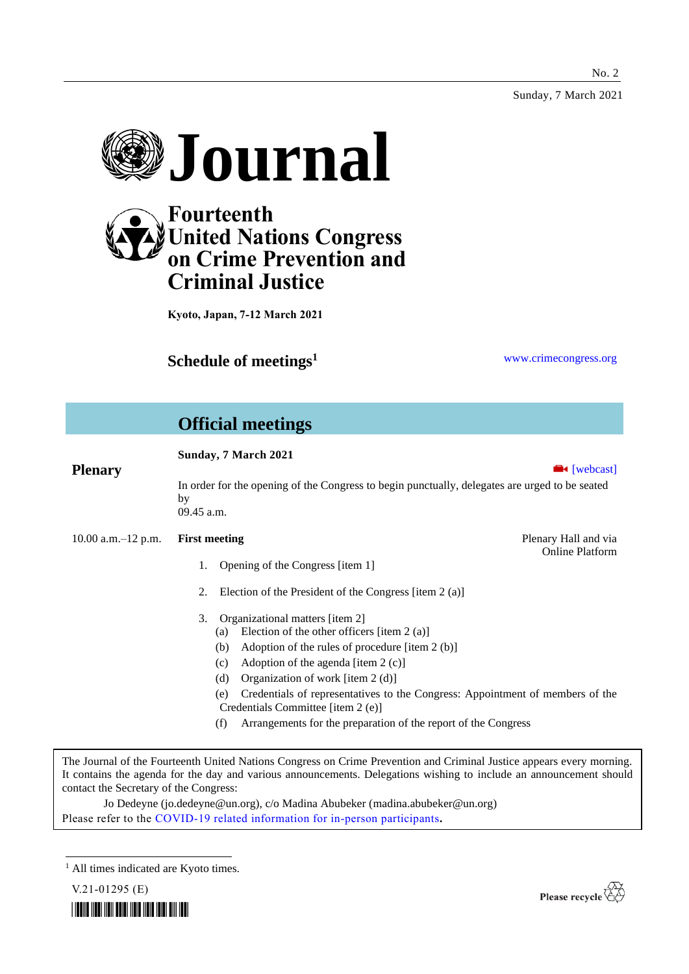Sunday, 7 March 2021



# **Fourteenth United Nations Congress on Crime Prevention and Criminal Justice**

**Kyoto, Japan, 7-12 March 2021**

**Schedule of meetings<sup>1</sup>** [www.crimecongress.org](http://www.crimecongress.org/)

# **Official meetings**

# **Sunday, 7 March 2021 Plenary Exercise Exercise Exercise Exercise Exercise Exercise Exercise Exercise Exercise Exercise Exercise Exercise Exercise Exercise Exercise Exercise Exercise Exercise Exercise Exercise Exercise Exercise Exercise Exer** In order for the opening of the Congress to begin punctually, delegates are urged to be seated by 09.45 a.m. 10.00 a.m.–12 p.m. **First meeting** Plenary Hall and via Online Platform 1. Opening of the Congress [item 1] 2. Election of the President of the Congress [item 2 (a)] 3. Organizational matters [item 2] (a) Election of the other officers [item 2 (a)] (b) Adoption of the rules of procedure [item 2 (b)] (c) Adoption of the agenda [item 2 (c)] (d) Organization of work [item 2 (d)] (e) Credentials of representatives to the Congress: Appointment of members of the Credentials Committee [item 2 (e)] (f) Arrangements for the preparation of the report of the Congress

The Journal of the Fourteenth United Nations Congress on Crime Prevention and Criminal Justice appears every morning. It contains the agenda for the day and various announcements. Delegations wishing to include an announcement should contact the Secretary of the Congress:

Jo Dedeyne (jo.dedeyne@un.org), c/o Madina Abubeker (madina.abubeker@un.org) Please refer to the [COVID-19 related information for in-person participants](https://www.unodc.org/unodc/en/crimecongress/covid-19.html)**.**

<sup>1</sup> All times indicated are Kyoto times.



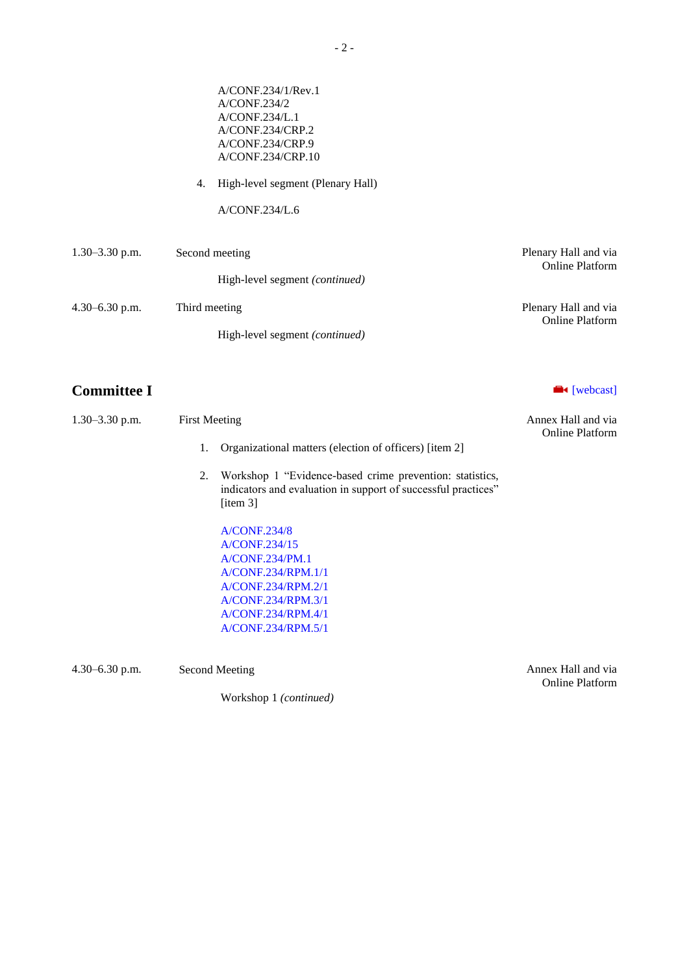|                    | A/CONF.234/1/Rev.1<br>A/CONF.234/2<br>A/CONF.234/L.1<br>A/CONF.234/CRP.2<br>A/CONF.234/CRP.9<br>A/CONF.234/CRP.10<br>High-level segment (Plenary Hall)<br>4.<br>A/CONF.234/L.6 |                                                |
|--------------------|--------------------------------------------------------------------------------------------------------------------------------------------------------------------------------|------------------------------------------------|
| $1.30 - 3.30$ p.m. | Second meeting<br>High-level segment (continued)                                                                                                                               | Plenary Hall and via<br><b>Online Platform</b> |
| $4.30 - 6.30$ p.m. | Third meeting<br>High-level segment (continued)                                                                                                                                | Plenary Hall and via<br>Online Platform        |

# **Committee I Committee I**

| $1.30 - 3.30$ p.m. | <b>First Meeting</b> | Annex Hall and via<br><b>Online Platform</b>                                                                                                                   |  |
|--------------------|----------------------|----------------------------------------------------------------------------------------------------------------------------------------------------------------|--|
|                    | 1.                   | Organizational matters (election of officers) [item 2]                                                                                                         |  |
|                    | 2.                   | Workshop 1 "Evidence-based crime prevention: statistics,<br>indicators and evaluation in support of successful practices"<br>$\lceil$ item 3                   |  |
|                    |                      | A/CONF.234/8<br>A/CONF.234/15<br>A/CONF.234/PM.1<br>A/CONF.234/RPM.1/1<br>A/CONF.234/RPM.2/1<br>A/CONF.234/RPM.3/1<br>A/CONF.234/RPM.4/1<br>A/CONF.234/RPM.5/1 |  |

4.30–6.30 p.m. Second Meeting Annex Hall and via

Workshop 1 *(continued)*

Online Platform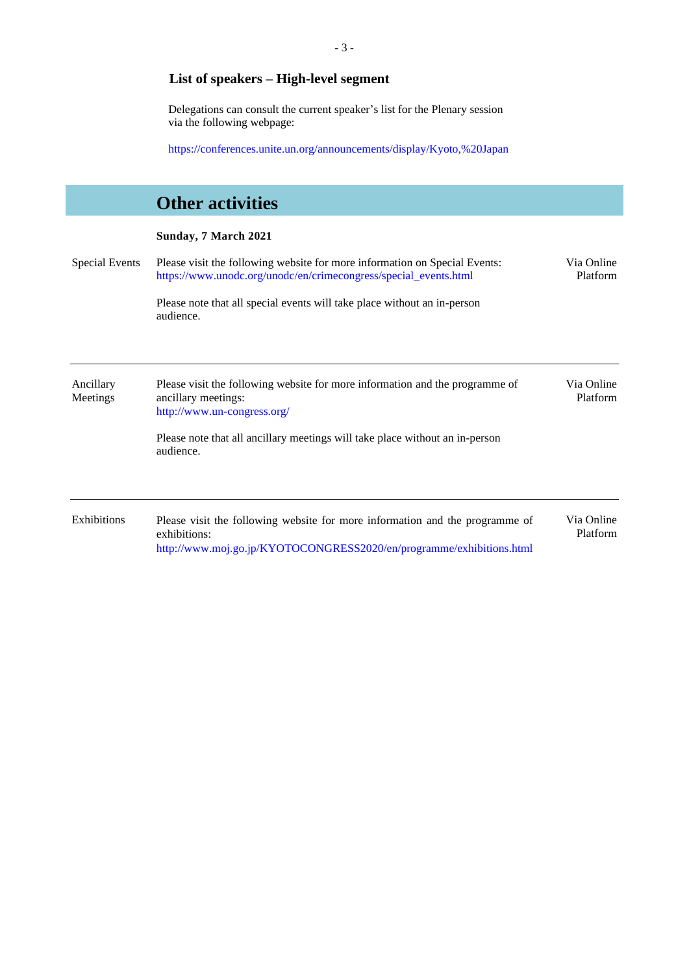# **List of speakers – High-level segment**

Delegations can consult the current speaker's list for the Plenary session via the following webpage:

<https://conferences.unite.un.org/announcements/display/Kyoto,%20Japan>

|                       | <b>Other activities</b>                                                                                                                                              |                        |
|-----------------------|----------------------------------------------------------------------------------------------------------------------------------------------------------------------|------------------------|
|                       | Sunday, 7 March 2021                                                                                                                                                 |                        |
| <b>Special Events</b> | Please visit the following website for more information on Special Events:<br>https://www.unodc.org/unodc/en/crimecongress/special_events.html                       | Via Online<br>Platform |
|                       | Please note that all special events will take place without an in-person<br>audience.                                                                                |                        |
| Ancillary<br>Meetings | Please visit the following website for more information and the programme of<br>ancillary meetings:<br>http://www.un-congress.org/                                   | Via Online<br>Platform |
|                       | Please note that all ancillary meetings will take place without an in-person<br>audience.                                                                            |                        |
| Exhibitions           | Please visit the following website for more information and the programme of<br>exhibitions:<br>http://www.moj.go.jp/KYOTOCONGRESS2020/en/programme/exhibitions.html | Via Online<br>Platform |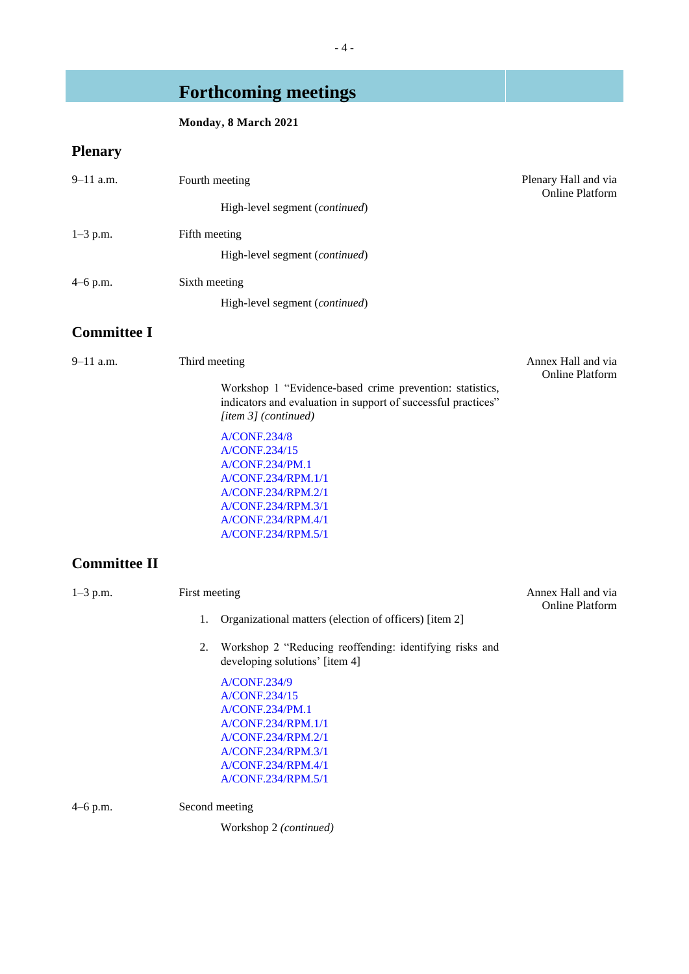# **Forthcoming meetings**

# **Monday, 8 March 2021**

# **Plenary**

| $9 - 11$ a.m.       | Fourth meeting                                                                                                                                                        | Plenary Hall and via<br><b>Online Platform</b> |  |  |
|---------------------|-----------------------------------------------------------------------------------------------------------------------------------------------------------------------|------------------------------------------------|--|--|
|                     | High-level segment (continued)                                                                                                                                        |                                                |  |  |
| $1 - 3$ p.m.        | Fifth meeting                                                                                                                                                         |                                                |  |  |
|                     | High-level segment (continued)                                                                                                                                        |                                                |  |  |
| 4–6 p.m.            | Sixth meeting                                                                                                                                                         |                                                |  |  |
|                     | High-level segment (continued)                                                                                                                                        |                                                |  |  |
| <b>Committee I</b>  |                                                                                                                                                                       |                                                |  |  |
| 9-11 a.m.           | Third meeting                                                                                                                                                         | Annex Hall and via                             |  |  |
|                     | Workshop 1 "Evidence-based crime prevention: statistics,<br>indicators and evaluation in support of successful practices"<br>[item 3] (continued)                     | <b>Online Platform</b>                         |  |  |
|                     | <b>A/CONF.234/8</b><br>A/CONF.234/15<br>A/CONF.234/PM.1<br>A/CONF.234/RPM.1/1<br>A/CONF.234/RPM.2/1<br>A/CONF.234/RPM.3/1<br>A/CONF.234/RPM.4/1<br>A/CONF.234/RPM.5/1 |                                                |  |  |
| <b>Committee II</b> |                                                                                                                                                                       |                                                |  |  |
| $1 - 3$ p.m.        | First meeting                                                                                                                                                         | Annex Hall and via<br><b>Online Platform</b>   |  |  |
|                     | Organizational matters (election of officers) [item 2]<br>1.                                                                                                          |                                                |  |  |
|                     | Workshop 2 "Reducing reoffending: identifying risks and<br>2.<br>developing solutions' [item 4]                                                                       |                                                |  |  |
|                     | A/CONF.234/9<br>A/CONF.234/15<br>A/CONF.234/PM.1<br>A/CONF.234/RPM.1/1<br>A/CONF.234/RPM.2/1<br>A/CONF.234/RPM.3/1<br>A/CONF.234/RPM.4/1<br>A/CONF.234/RPM.5/1        |                                                |  |  |
| 4–6 p.m.            | Second meeting                                                                                                                                                        |                                                |  |  |
|                     | Workshop 2 (continued)                                                                                                                                                |                                                |  |  |
|                     |                                                                                                                                                                       |                                                |  |  |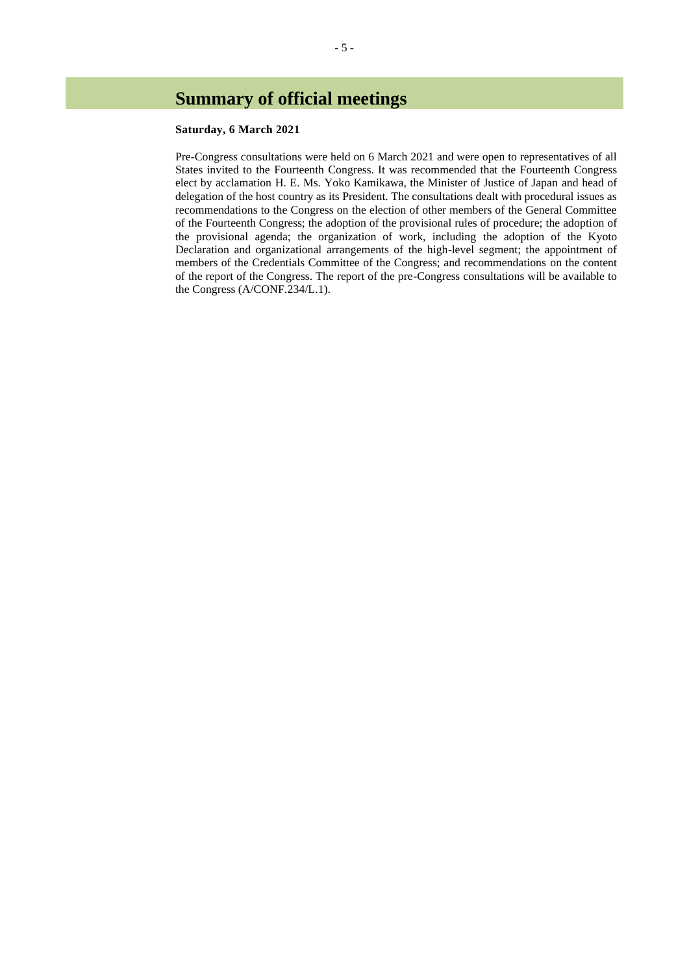# **Summary of official meetings**

### **Saturday, 6 March 2021**

Pre-Congress consultations were held on 6 March 2021 and were open to representatives of all States invited to the Fourteenth Congress. It was recommended that the Fourteenth Congress elect by acclamation H. E. Ms. Yoko Kamikawa, the Minister of Justice of Japan and head of delegation of the host country as its President. The consultations dealt with procedural issues as recommendations to the Congress on the election of other members of the General Committee of the Fourteenth Congress; the adoption of the provisional rules of procedure; the adoption of the provisional agenda; the organization of work, including the adoption of the Kyoto Declaration and organizational arrangements of the high-level segment; the appointment of members of the Credentials Committee of the Congress; and recommendations on the content of the report of the Congress. The report of the pre-Congress consultations will be available to the Congress (A/CONF.234/L.1).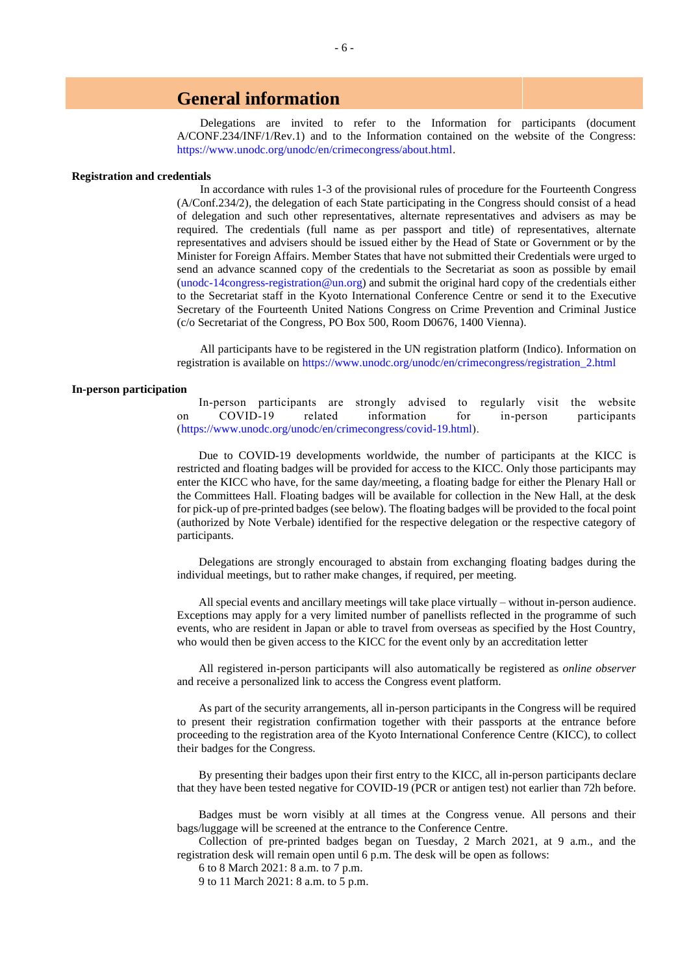# **General information**

Delegations are invited to refer to the Information for participants (document A/CONF.234/INF/1/Rev.1) and to the Information contained on the website of the Congress: [https://www.unodc.org/unodc/en/crimecongress/about.html.](https://www.unodc.org/unodc/en/crimecongress/about.html)

### **Registration and credentials**

In accordance with rules 1-3 of the provisional rules of procedure for the Fourteenth Congress (A/Conf.234/2), the delegation of each State participating in the Congress should consist of a head of delegation and such other representatives, alternate representatives and advisers as may be required. The credentials (full name as per passport and title) of representatives, alternate representatives and advisers should be issued either by the Head of State or Government or by the Minister for Foreign Affairs. Member States that have not submitted their Credentials were urged to send an advance scanned copy of the credentials to the Secretariat as soon as possible by email [\(unodc-14congress-registration@un.org\)](mailto:unodc-14congress-registration@un.org) and submit the original hard copy of the credentials either to the Secretariat staff in the Kyoto International Conference Centre or send it to the Executive Secretary of the Fourteenth United Nations Congress on Crime Prevention and Criminal Justice (c/o Secretariat of the Congress, PO Box 500, Room D0676, 1400 Vienna).

All participants have to be registered in the UN registration platform (Indico). Information on registration is available on [https://www.unodc.org/unodc/en/crimecongress/registration\\_2.html](https://www.unodc.org/unodc/en/crimecongress/registration_2.html)

## **In-person participation**

In-person participants are strongly advised to regularly visit the website on COVID-19 related information for in-person participants [\(https://www.unodc.org/unodc/en/crimecongress/covid-19.html\)](https://www.unodc.org/unodc/en/crimecongress/covid-19.html).

Due to COVID-19 developments worldwide, the number of participants at the KICC is restricted and floating badges will be provided for access to the KICC. Only those participants may enter the KICC who have, for the same day/meeting, a floating badge for either the Plenary Hall or the Committees Hall. Floating badges will be available for collection in the New Hall, at the desk for pick-up of pre-printed badges (see below). The floating badges will be provided to the focal point (authorized by Note Verbale) identified for the respective delegation or the respective category of participants.

Delegations are strongly encouraged to abstain from exchanging floating badges during the individual meetings, but to rather make changes, if required, per meeting.

All special events and ancillary meetings will take place virtually – without in-person audience. Exceptions may apply for a very limited number of panellists reflected in the programme of such events, who are resident in Japan or able to travel from overseas as specified by the Host Country, who would then be given access to the KICC for the event only by an accreditation letter

All registered in-person participants will also automatically be registered as *online observer* and receive a personalized link to access the Congress event platform.

As part of the security arrangements, all in-person participants in the Congress will be required to present their registration confirmation together with their passports at the entrance before proceeding to the registration area of the Kyoto International Conference Centre (KICC), to collect their badges for the Congress.

By presenting their badges upon their first entry to the KICC, all in-person participants declare that they have been tested negative for COVID-19 (PCR or antigen test) not earlier than 72h before.

Badges must be worn visibly at all times at the Congress venue. All persons and their bags/luggage will be screened at the entrance to the Conference Centre.

Collection of pre-printed badges began on Tuesday, 2 March 2021, at 9 a.m., and the registration desk will remain open until 6 p.m. The desk will be open as follows:

6 to 8 March 2021: 8 a.m. to 7 p.m.

9 to 11 March 2021: 8 a.m. to 5 p.m.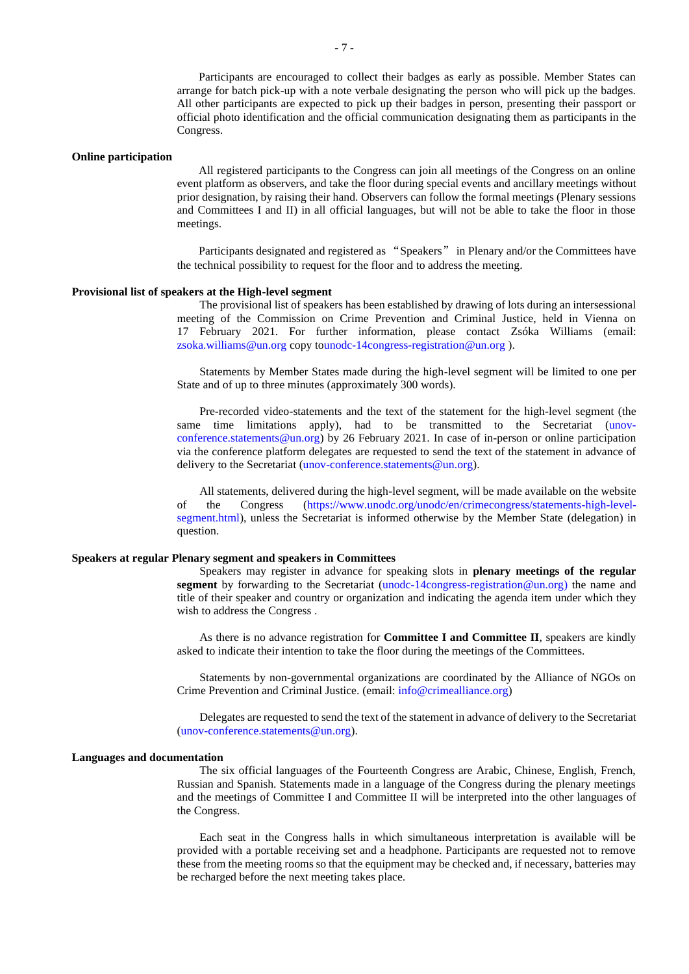Participants are encouraged to collect their badges as early as possible. Member States can arrange for batch pick-up with a note verbale designating the person who will pick up the badges. All other participants are expected to pick up their badges in person, presenting their passport or official photo identification and the official communication designating them as participants in the Congress.

#### **Online participation**

All registered participants to the Congress can join all meetings of the Congress on an online event platform as observers, and take the floor during special events and ancillary meetings without prior designation, by raising their hand. Observers can follow the formal meetings (Plenary sessions and Committees I and II) in all official languages, but will not be able to take the floor in those meetings.

Participants designated and registered as "Speakers" in Plenary and/or the Committees have the technical possibility to request for the floor and to address the meeting.

#### **Provisional list of speakers at the High-level segment**

The provisional list of speakers has been established by drawing of lots during an intersessional meeting of the Commission on Crime Prevention and Criminal Justice, held in Vienna on 17 February 2021. For further information, please contact Zsóka Williams (email: [zsoka.williams@un.org](mailto:doris.resch@unodc.org) copy t[ounodc-14congress-registration@un.org](mailto:unodc-14congress-registration@un.org) ).

Statements by Member States made during the high-level segment will be limited to one per State and of up to three minutes (approximately 300 words).

Pre-recorded video-statements and the text of the statement for the high-level segment (the same time limitations apply), had to be transmitted to the Secretariat [\(unov](mailto:unov-conference.statements@un.org)[conference.statements@un.org\)](mailto:unov-conference.statements@un.org) by 26 February 2021. In case of in-person or online participation via the conference platform delegates are requested to send the text of the statement in advance of delivery to the Secretariat [\(unov-conference.statements@un.org\)](mailto:unov-conference.statements@un.org).

All statements, delivered during the high-level segment, will be made available on the website of the Congress [\(https://www.unodc.org/unodc/en/crimecongress/statements-high-level](https://www.unodc.org/unodc/en/crimecongress/statements-high-level-segment.html)[segment.html\)](https://www.unodc.org/unodc/en/crimecongress/statements-high-level-segment.html), unless the Secretariat is informed otherwise by the Member State (delegation) in question.

#### **Speakers at regular Plenary segment and speakers in Committees**

Speakers may register in advance for speaking slots in **plenary meetings of the regular segment** by forwarding to the Secretariat [\(unodc-14congress-registration@un.org\)](mailto:unodc-14congress-registration@un.org) the name and title of their speaker and country or organization and indicating the agenda item under which they wish to address the Congress .

As there is no advance registration for **Committee I and Committee II**, speakers are kindly asked to indicate their intention to take the floor during the meetings of the Committees.

Statements by non-governmental organizations are coordinated by the Alliance of NGOs on Crime Prevention and Criminal Justice. (email: [info@crimealliance.org\)](mailto:info@crimealliance.org)

Delegates are requested to send the text of the statement in advance of delivery to the Secretariat [\(unov-conference.statements@un.org\)](mailto:unov-conference.statements@un.org).

#### **Languages and documentation**

The six official languages of the Fourteenth Congress are Arabic, Chinese, English, French, Russian and Spanish. Statements made in a language of the Congress during the plenary meetings and the meetings of Committee I and Committee II will be interpreted into the other languages of the Congress.

Each seat in the Congress halls in which simultaneous interpretation is available will be provided with a portable receiving set and a headphone. Participants are requested not to remove these from the meeting rooms so that the equipment may be checked and, if necessary, batteries may be recharged before the next meeting takes place.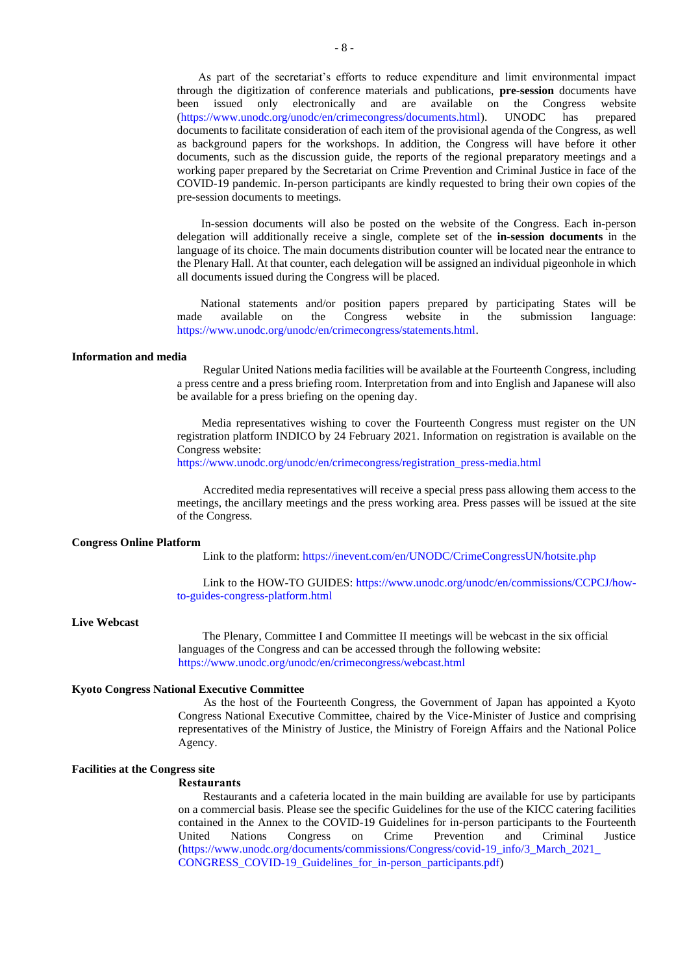As part of the secretariat's efforts to reduce expenditure and limit environmental impact through the digitization of conference materials and publications, **pre-session** documents have been issued only electronically and are available on the Congress website [\(https://www.unodc.org/unodc/en/crimecongress/documents.html\)](https://www.unodc.org/unodc/en/crimecongress/documents.html). UNODC has prepared documents to facilitate consideration of each item of the provisional agenda of the Congress, as well as background papers for the workshops. In addition, the Congress will have before it other documents, such as the discussion guide, the reports of the regional preparatory meetings and a working paper prepared by the Secretariat on Crime Prevention and Criminal Justice in face of the COVID-19 pandemic. In-person participants are kindly requested to bring their own copies of the pre-session documents to meetings.

In-session documents will also be posted on the website of the Congress. Each in-person delegation will additionally receive a single, complete set of the **in-session documents** in the language of its choice. The main documents distribution counter will be located near the entrance to the Plenary Hall. At that counter, each delegation will be assigned an individual pigeonhole in which all documents issued during the Congress will be placed.

National statements and/or position papers prepared by participating States will be made available on the Congress website in the submission language: [https://www.unodc.org/unodc/en/crimecongress/statements.html.](https://www.unodc.org/unodc/en/crimecongress/statements.html)

#### **Information and media**

Regular United Nations media facilities will be available at the Fourteenth Congress, including a press centre and a press briefing room. Interpretation from and into English and Japanese will also be available for a press briefing on the opening day.

Media representatives wishing to cover the Fourteenth Congress must register on the UN registration platform INDICO by 24 February 2021. Information on registration is available on the Congress website:

[https://www.unodc.org/unodc/en/crimecongress/registration\\_press-media.html](https://www.unodc.org/unodc/en/crimecongress/registration_press-media.html)

Accredited media representatives will receive a special press pass allowing them access to the meetings, the ancillary meetings and the press working area. Press passes will be issued at the site of the Congress.

### **Congress Online Platform**

Link to the platform[: https://inevent.com/en/UNODC/CrimeCongressUN/hotsite.php](https://inevent.com/en/UNODC/CrimeCongressUN/hotsite.php)

Link to the HOW-TO GUIDES[: https://www.unodc.org/unodc/en/commissions/CCPCJ/how](https://www.unodc.org/unodc/en/commissions/CCPCJ/how-to-guides-congress-platform.html)[to-guides-congress-platform.html](https://www.unodc.org/unodc/en/commissions/CCPCJ/how-to-guides-congress-platform.html)

### **Live Webcast**

The Plenary, Committee I and Committee II meetings will be webcast in the six official languages of the Congress and can be accessed through the following website: <https://www.unodc.org/unodc/en/crimecongress/webcast.html>

## **Kyoto Congress National Executive Committee**

As the host of the Fourteenth Congress, the Government of Japan has appointed a Kyoto Congress National Executive Committee, chaired by the Vice-Minister of Justice and comprising representatives of the Ministry of Justice, the Ministry of Foreign Affairs and the National Police Agency.

#### **Facilities at the Congress site**

#### **Restaurants**

Restaurants and a cafeteria located in the main building are available for use by participants on a commercial basis. Please see the specific Guidelines for the use of the KICC catering facilities contained in the Annex to the COVID-19 Guidelines for in-person participants to the Fourteenth United Nations Congress on Crime Prevention and Criminal Justice [\(https://www.unodc.org/documents/commissions/Congress/covid-19\\_info/3\\_March\\_2021\\_](https://www.unodc.org/documents/commissions/Congress/covid-19_info/3_March_2021_CONGRESS_COVID-19_Guidelines_for_in-person_participants.pdf) [CONGRESS\\_COVID-19\\_Guidelines\\_for\\_in-person\\_participants.pdf\)](https://www.unodc.org/documents/commissions/Congress/covid-19_info/3_March_2021_CONGRESS_COVID-19_Guidelines_for_in-person_participants.pdf)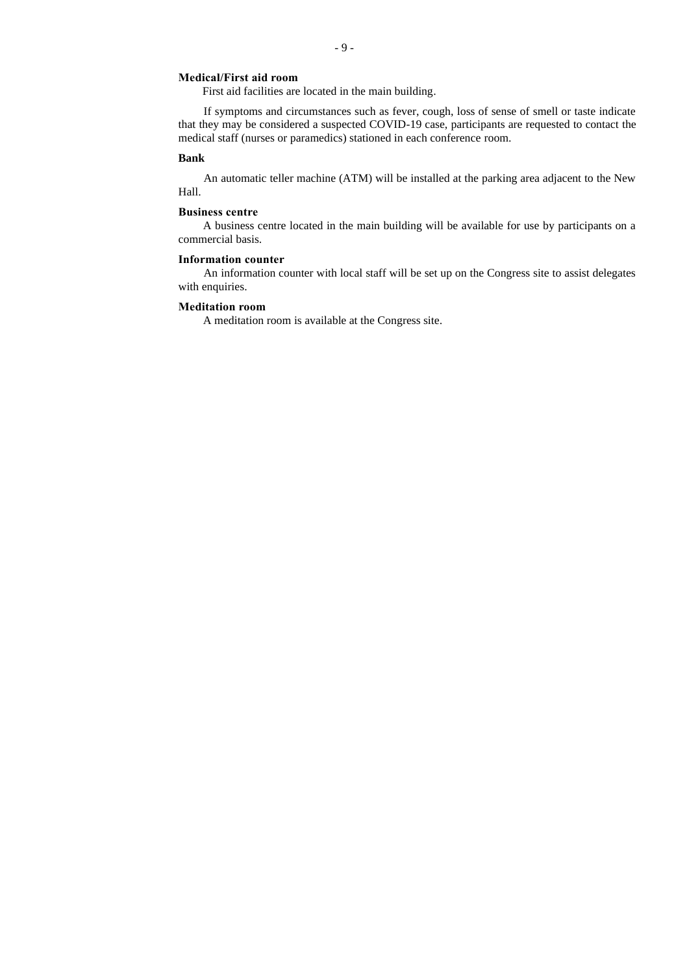## **Medical/First aid room**

First aid facilities are located in the main building.

If symptoms and circumstances such as fever, cough, loss of sense of smell or taste indicate that they may be considered a suspected COVID-19 case, participants are requested to contact the medical staff (nurses or paramedics) stationed in each conference room.

### **Bank**

An automatic teller machine (ATM) will be installed at the parking area adjacent to the New Hall.

## **Business centre**

A business centre located in the main building will be available for use by participants on a commercial basis.

### **Information counter**

An information counter with local staff will be set up on the Congress site to assist delegates with enquiries.

#### **Meditation room**

A meditation room is available at the Congress site.